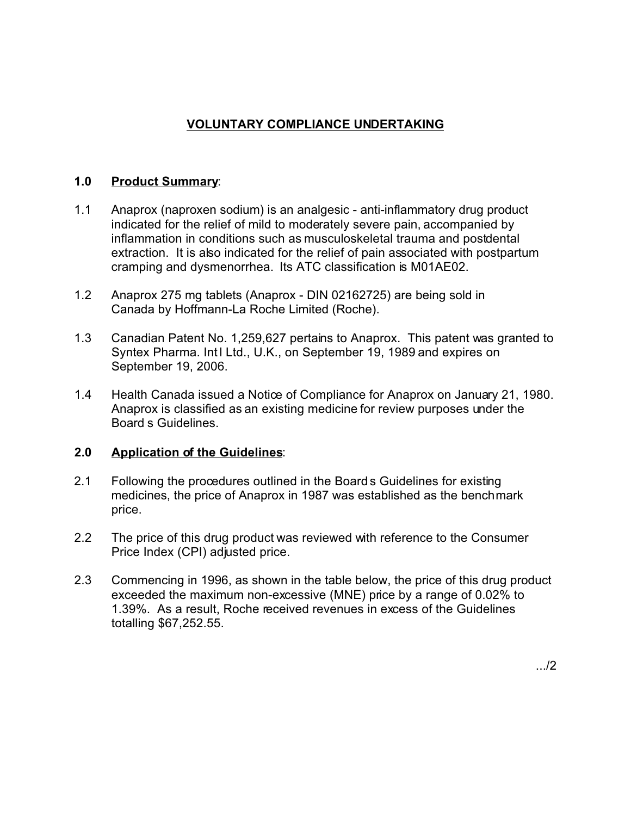# **VOLUNTARY COMPLIANCE UNDERTAKING**

### **1.0 Product Summary**:

- 1.1 Anaprox (naproxen sodium) is an analgesic anti-inflammatory drug product indicated for the relief of mild to moderately severe pain, accompanied by inflammation in conditions such as musculoskeletal trauma and postdental extraction. It is also indicated for the relief of pain associated with postpartum cramping and dysmenorrhea. Its ATC classification is M01AE02.
- 1.2 Anaprox 275 mg tablets (Anaprox DIN 02162725) are being sold in Canada by Hoffmann-La Roche Limited (Roche).
- 1.3 Canadian Patent No. 1,259,627 pertains to Anaprox. This patent was granted to Syntex Pharma. Int I Ltd., U.K., on September 19, 1989 and expires on September 19, 2006.
- 1.4 Health Canada issued a Notice of Compliance for Anaprox on January 21, 1980. Anaprox is classified as an existing medicine for review purposes under the Board s Guidelines.

## **2.0 Application of the Guidelines**:

- 2.1 Following the procedures outlined in the Board s Guidelines for existing medicines, the price of Anaprox in 1987 was established as the benchmark price.
- 2.2 The price of this drug product was reviewed with reference to the Consumer Price Index (CPI) adjusted price.
- 2.3 Commencing in 1996, as shown in the table below, the price of this drug product exceeded the maximum non-excessive (MNE) price by a range of 0.02% to 1.39%. As a result, Roche received revenues in excess of the Guidelines totalling \$67,252.55.